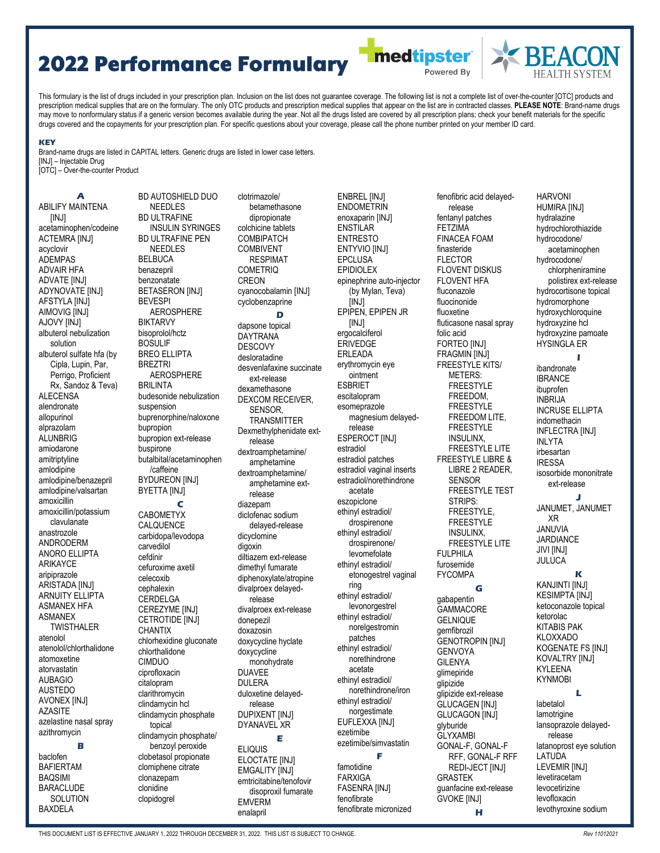## 2022 Performance Formulary

This formulary is the list of drugs included in your prescription plan. Inclusion on the list does not guarantee coverage. The following list is not a complete list of over-the-counter [OTC] products and prescription medical supplies that are on the formulary. The only OTC products and prescription medical supplies that appear on the list are in contracted classes. **PLEASE NOTE**: Brand-name drugs may move to nonformulary status if a generic version becomes available during the year. Not all the drugs listed are covered by all prescription plans; check your benefit materials for the specific drugs covered and the copayments for your prescription plan. For specific questions about your coverage, please call the phone number printed on your member ID card.

> clotrimazole/ betamethasone dipropionate colchicine tablets COMBIPATCH

## **KEY**

Brand-name drugs are listed in CAPITAL letters. Generic drugs are listed in lower case letters. [INJ] – Injectable Drug [OTC] – Over-the-counter Product

**A**  ABILIFY MAINTENA [INJ] acetaminophen/codeine ACTEMRA [INJ] acyclovir ADEMPAS ADVAIR HFA ADVATE [INJ] ADYNOVATE [INJ] AFSTYLA [INJ] AIMOVIG [INJ] AJOVY [INJ] albuterol nebulization solution albuterol sulfate hfa (by Cipla, Lupin, Par. Perrigo, Proficient Rx, Sandoz & Teva) ALECENSA alendronate allopurinol alprazolam **ALUNBRIG** amiodarone amitriptyline amlodipine amlodipine/benazepril amlodipine/valsartan amoxicillin amoxicillin/potassium clavulanate anastrozole ANDRODERM ANORO ELLIPTA ARIKAYCE aripiprazole ARISTADA [INJ] ARNUITY FILIPTA ASMANEX HFA ASMANEX **TWISTHALER** atenolol atenolol/chlorthalidone atomoxetine atorvastatin AUBAGIO AUSTEDO AVONEX [INJ] AZASITE azelastine nasal spray azithromycin **B**  baclofen BAFIERTAM BAQSIMI BARACLUDE

**SOLUTION** BAXDELA

BD AUTOSHIELD DUO NEEDLES **BD ULTRAFINE** INSULIN SYRINGES BD ULTRAFINE PEN **NEEDLES BELBUCA** benazepril benzonatate **BETASERON [INJ]** BEVESPI AEROSPHERE BIKTARVY bisoprolol/hctz BOSULIF BREO ELLIPTA BREZTRI AEROSPHERE BRILINTA budesonide nebulization suspension buprenorphine/naloxone bupropion bupropion ext-release buspirone butalbital/acetaminophen /caffeine BYDUREON [INJ] BYETTA [INJ] **C**  CABOMETYX CALQUENCE carbidopa/levodopa carvedilol cefdinir cefuroxime axetil celecoxib cephalexin CERDELGA CEREZYME [INJ] CETROTIDE [INJ] **CHANTIX** chlorhexidine gluconate chlorthalidone CIMDUO ciprofloxacin citalopram clarithromycin clindamycin hcl clindamycin phosphate topical clindamycin phosphate/ benzoyl peroxide clobetasol propionate clomiphene citrate clonazepam clonidine clopidogrel

COMBIVENT RESPIMAT COMETRIQ **CREON** cyanocobalamin [INJ] cyclobenzaprine **D**  dapsone topical **DAYTRANA** DESCOVY desloratadine desvenlafaxine succinate ext-release dexamethasone DEXCOM RECEIVER, SENSOR, TRANSMITTER Dexmethylphenidate extrelease dextroamphetamine/ amphetamine dextroamphetamine/ amphetamine extrelease diazepam diclofenac sodium delayed-release dicyclomine digoxin diltiazem ext-release dimethyl fumarate diphenoxylate/atropine divalproex delayedrelease divalproex ext-release donepezil doxazosin doxycycline hyclate doxycycline monohydrate DUAVEE DULERA duloxetine delayedrelease DUPIXENT [INJ] DYANAVEL XR **E**  ELIQUIS ELOCTATE [INJ] EMGALITY [INJ] emtricitabine/tenofovir disoproxil fumarate EMVERM enalapril

ENBREL [INJ] **ENDOMETRIN** enoxaparin [INJ] **ENSTILAR** ENTRESTO ENTYVIO [INJ] EPCLUSA EPIDIOLEX epinephrine auto-injector (by Mylan, Teva) [INJ] EPIPEN, EPIPEN JR [INJ] ergocalciferol ERIVEDGE ERLEADA erythromycin eye ointment ESBRIET escitalopram esomeprazole magnesium delayedrelease ESPEROCT [INJ] estradiol estradiol patches estradiol vaginal inserts estradiol/norethindrone acetate eszopiclone ethinyl estradiol/ drospirenone ethinyl estradiol/ drospirenone/ levomefolate ethinyl estradiol/ etonogestrel vaginal ring ethinyl estradiol/ levonorgestrel ethinyl estradiol/ norelgestromin patches ethinyl estradiol/ norethindrone acetate ethinyl estradiol/ norethindrone/iron ethinyl estradiol/ norgestimate EUFLEXXA [INJ] ezetimibe ezetimibe/simvastatin **F**  famotidine FARXIGA FASENRA [INJ]

fenofibrate

fenofibrate micronized

fentanyl patches FETZIMA FINACEA FOAM finasteride FLECTOR FLOVENT DISKUS FI OVENT HFA fluconazole fluocinonide fluoxetine fluticasone nasal spray folic acid FORTEO [INJ] FRAGMIN [INJ] FREESTYLE KITS/ METERS: FREESTYLE FREEDOM, FREESTYLE FREEDOM LITE, FREESTYLE INSULINX, FREESTYLE LITE FREESTYLE LIBRE & LIBRE 2 READER, SENSOR FREESTYLE TEST STRIPS: FREESTYLE, FREESTYLE INSULINX, FREESTYLE LITE FULPHILA furosemide FYCOMPA **G**  gabapentin **GAMMACORE GELNIQUE** gemfibrozil GENOTROPIN [INJ] GENVOYA GILENYA glimepiride glipizide glipizide ext-release GLUCAGEN [INJ] GLUCAGON [INJ] glyburide GLYXAMBI GONAL-F, GONAL-F RFF, GONAL-F RFF REDI-JECT [INJ] GRASTEK guanfacine ext-release GVOKE [INJ] **H** 

fenofibric acid delayedrelease

**Imedtipster** 

Powered By

HARVONI HUMIRA [INJ] hydralazine hydrochlorothiazide hydrocodone/ acetaminophen hydrocodone/ chlorpheniramine polistirex ext-release hydrocortisone topical hydromorphone hydroxychloroquine hydroxyzine hcl hydroxyzine pamoate HYSINGLA ER **I** 

ibandronate

IBRANCE ibuprofen INBRIJA INCRUSE ELLIPTA indomethacin INFLECTRA [INJ] INLYTA irbesartan IRESSA isosorbide mononitrate ext-release **J**  JANUMET, JANUMET XR JANUVIA JARDIANCE JIVI [INJ] **JULUCA K**  KANJINTI [INJ] KESIMPTA [INJ] ketoconazole topical ketorolac KITABIS PAK KLOXXADO KOGENATE FS [INJ] KOVALTRY [INJ] KYLEENA KYNMOBI **L**  labetalol lamotrigine lansoprazole delayedrelease latanoprost eye solution LATUDA LEVEMIR [INJ] levetiracetam levocetirizine

levofloxacin levothyroxine sodium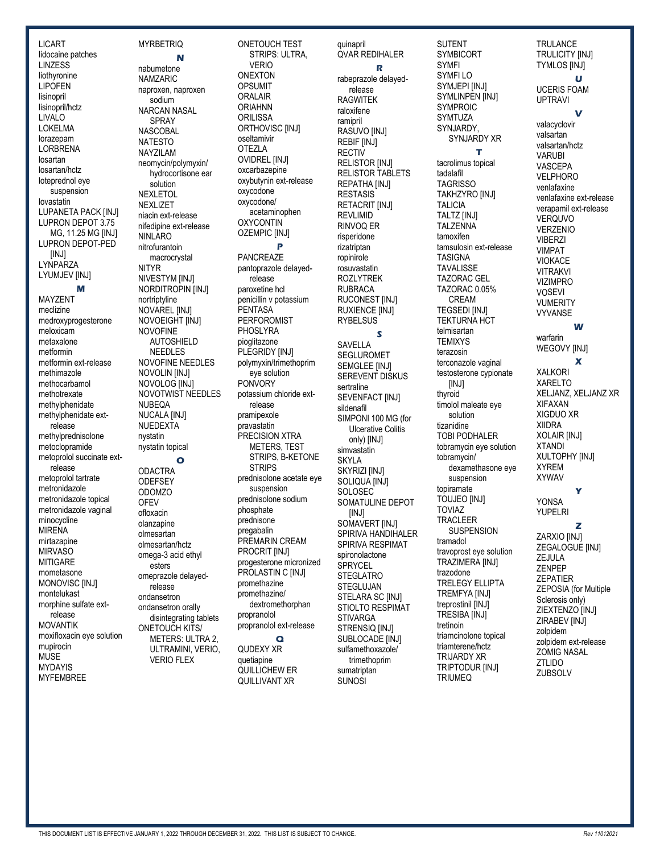LICART lidocaine patches LINZESS liothyronine LIPOFEN lisinopril lisinopril/hctz LIVALO LOKELMA lorazepam **LORBRENA** losartan losartan/hctz loteprednol eye suspension lovastatin LUPANETA PACK [INJ] LUPRON DEPOT 3.75 MG, 11.25 MG [INJ] LUPRON DEPOT-PED [INJ] LYNPARZA LYUMJEV [INJ] **M**  MAYZENT meclizine medroxyprogesterone meloxicam metaxalone metformin metformin ext-release methimazole methocarbamol methotrexate methylphenidate methylphenidate extrelease methylprednisolone metoclopramide metoprolol succinate extrelease metoprolol tartrate metronidazole metronidazole topical metronidazole vaginal minocycline MIRENA mirtazapine **MIRVASO** MITIGARE mometasone MONOVISC [INJ] montelukast morphine sulfate extrelease MOVANTIK moxifloxacin eye solution mupirocin **MUSE** MYDAYIS MYFEMBREE

**MYRBETRIQ N**  nabumetone NAMZARIC naproxen, naproxen sodium NARCAN NASAL SPRAY **NASCOBAL** NATESTO NAYZILAM neomycin/polymyxin/ hydrocortisone ear solution **NEXLETOL NEXLIZET** niacin ext-release nifedipine ext-release NINLARO nitrofurantoin macrocrystal NITYR NIVESTYM [INJ] NORDITROPIN [INJ] nortriptyline **NOVAREL IINJI** NOVOEIGHT [INJ] NOVOFINE AUTOSHIELD NEEDLES NOVOFINE NEEDLES NOVOLIN [INJ] NOVOLOG [INJ] NOVOTWIST NEEDLES NUBEQA NUCALA [INJ] **NUEDEXTA** nystatin nystatin topical **O ODACTRA ODEFSEY** ODOMZO **OFEV** ofloxacin olanzapine olmesartan olmesartan/hctz omega-3 acid ethyl esters omeprazole delayedrelease ondansetron ondansetron orally disintegrating tablets ONETOUCH KITS/ METERS: ULTRA 2, ULTRAMINI, VERIO, VERIO FLEX

ONETOUCH TEST STRIPS: ULTRA, VERIO ONEXTON OPSUMIT ORALAIR ORIAHNN **ORILISSA** ORTHOVISC [INJ] oseltamivir OTEZLA OVIDREL [INJ] oxcarbazepine oxybutynin ext-release oxycodone oxycodone/ acetaminophen **OXYCONTIN OZEMPIC [INJ] P**  PANCREAZE pantoprazole delayedrelease paroxetine hcl penicillin v potassium PENTASA PERFOROMIST PHOSLYRA pioglitazone PLEGRIDY [INJ] polymyxin/trimethoprim eye solution **PONVORY** potassium chloride extrelease pramipexole pravastatin PRECISION XTRA METERS, TEST STRIPS, B-KETONE **STRIPS** prednisolone acetate eye suspension prednisolone sodium phosphate prednisone pregabalin PREMARIN CREAM PROCRIT [INJ] progesterone micronized PROLASTIN C [INJ] promethazine promethazine/ dextromethorphan propranolol propranolol ext-release **Q**  QUDEXY XR quetiapine

QUILLICHEW ER QUILLIVANT XR

quinapril QVAR REDIHALER **R**  rabeprazole delayedrelease RAGWITEK raloxifene ramipril RASUVO [INJ] REBIF [INJ] **RECTIV RELISTOR IINJI** RELISTOR TABLETS REPATHA [INJ] RESTASIS **RETACRIT IINJI** REVLIMID RINVOQ ER risperidone rizatriptan ropinirole rosuvastatin ROZLYTREK RUBRACA RUCONEST [INJ] RUXIENCE **[INJ]** RYBELSUS **S**  SAVELLA SEGLUROMET SEMGLEE [INJ] SEREVENT DISKUS sertraline SEVENFACT [INJ] sildenafil SIMPONI 100 MG (for Ulcerative Colitis only) [INJ] simvastatin SKYLA SKYRIZI [INJ] SOLIQUA [INJ] SOLOSEC SOMATULINE DEPOT [INJ] SOMAVERT **IINJI** SPIRIVA HANDIHALER SPIRIVA RESPIMAT spironolactone **SPRYCEL STEGLATRO STEGLUJAN** STELARA SC [INJ] STIOLTO RESPIMAT **STIVARGA** STRENSIQ [INJ] SUBLOCADE [INJ] sulfamethoxazole/ trimethoprim

sumatriptan SUNOSI

SYMBICORT SYMFI SYMFI LO SYMJEPI [INJ] SYMLINPEN [INJ] SYMPROIC **SYMTUZA** SYNJARDY, SYNJARDY XR **T**  tacrolimus topical tadalafil TAGRISSO TAKHZYRO [INJ] TALICIA TALTZ [INJ] TAI **ZENNA** tamoxifen tamsulosin ext-release TASIGNA TAVALISSE TAZORAC GEL TAZORAC 0.05% CREAM **TEGSEDI [INJ]** TEKTURNA HCT telmisartan **TEMIXYS** terazosin terconazole vaginal testosterone cypionate [INJ] thyroid timolol maleate eye solution tizanidine TOBI PODHALER tobramycin eye solution tobramycin/ dexamethasone eye suspension topiramate TOUJEO [INJ] TOVIAZ TRACLEER **SUSPENSION** tramadol travoprost eye solution TRAZIMERA [INJ] trazodone TRELEGY ELLIPTA TREMFYA [INJ] treprostinil [INJ] **TRESIBA [INJ]** tretinoin triamcinolone topical triamterene/hctz TRIJARDY XR TRIPTODUR [INJ] **TRIUMEQ** 

SUTENT

**TRULANCE** TRULICITY [INJ] TYMLOS [INJ] **U**  UCERIS FOAM UPTRAVI **V**  valacyclovir valsartan valsartan/hctz VARUBI VASCEPA VELPHORO venlafaxine venlafaxine ext-release verapamil ext-release VERQUVO VERZENIO VIBERZI VIMPAT VIOKACE VITRAKVI **VIZIMPRO** VOSEVI **VUMERITY** VYVANSE **W**  warfarin WEGOVY [INJ] **X**  XALKORI XARELTO XELJANZ, XELJANZ XR XIFAXAN XIGDUO XR XIIDRA XOLAIR [INJ] XTANDI XULTOPHY [INJ] XYREM XYWAV **Y**  YONSA YUPELRI **Z**  ZARXIO [INJ] ZEGALOGUE [INJ] ZEJULA ZENPEP ZEPATIER ZEPOSIA (for Multiple Sclerosis only) ZIEXTENZO [INJ] ZIRABEV [INJ] zolpidem zolpidem ext-release ZOMIG NASAL

ZTLIDO ZUBSOLV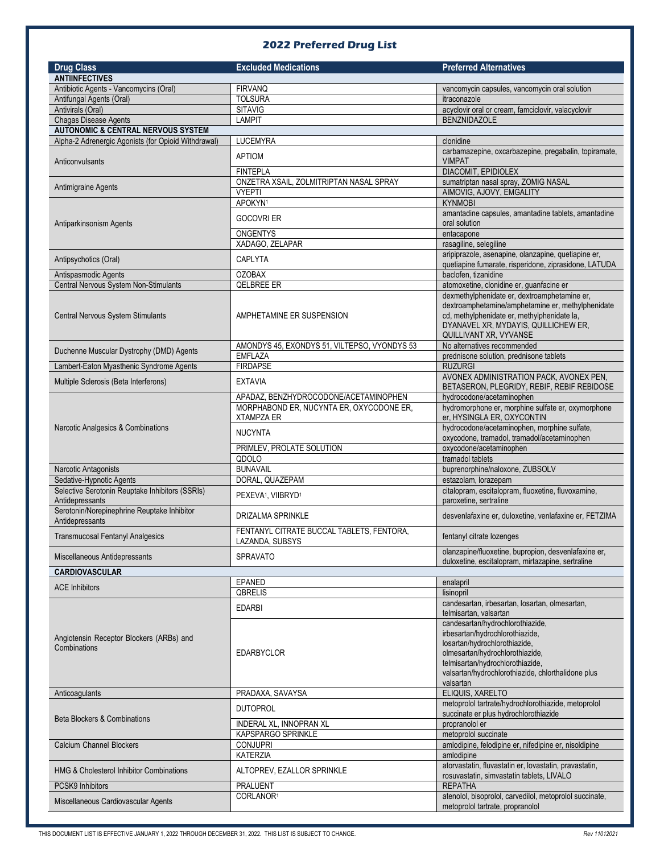## **2022 Preferred Drug List**

| <b>Drug Class</b>                                                  | <b>Excluded Medications</b>                                   | <b>Preferred Alternatives</b>                                                                                                                                                                                                                  |
|--------------------------------------------------------------------|---------------------------------------------------------------|------------------------------------------------------------------------------------------------------------------------------------------------------------------------------------------------------------------------------------------------|
| <b>ANTIINFECTIVES</b>                                              |                                                               |                                                                                                                                                                                                                                                |
| Antibiotic Agents - Vancomycins (Oral)                             | <b>FIRVANQ</b>                                                | vancomycin capsules, vancomycin oral solution                                                                                                                                                                                                  |
| Antifungal Agents (Oral)                                           | <b>TOLSURA</b>                                                | itraconazole                                                                                                                                                                                                                                   |
| Antivirals (Oral)                                                  | <b>SITAVIG</b>                                                | acyclovir oral or cream, famciclovir, valacyclovir                                                                                                                                                                                             |
| <b>Chagas Disease Agents</b>                                       | <b>LAMPIT</b>                                                 | <b>BENZNIDAZOLE</b>                                                                                                                                                                                                                            |
| <b>AUTONOMIC &amp; CENTRAL NERVOUS SYSTEM</b>                      |                                                               |                                                                                                                                                                                                                                                |
| Alpha-2 Adrenergic Agonists (for Opioid Withdrawal)                | <b>LUCEMYRA</b>                                               | clonidine                                                                                                                                                                                                                                      |
| Anticonvulsants                                                    | <b>APTIOM</b>                                                 | carbamazepine, oxcarbazepine, pregabalin, topiramate,<br><b>VIMPAT</b>                                                                                                                                                                         |
|                                                                    | <b>FINTEPLA</b>                                               | DIACOMIT, EPIDIOLEX                                                                                                                                                                                                                            |
| Antimigraine Agents                                                | ONZETRA XSAIL, ZOLMITRIPTAN NASAL SPRAY<br><b>VYEPTI</b>      | sumatriptan nasal spray, ZOMIG NASAL<br>AIMOVIG, AJOVY, EMGALITY                                                                                                                                                                               |
|                                                                    | APOKYN <sup>1</sup>                                           | <b>KYNMOBI</b>                                                                                                                                                                                                                                 |
| Antiparkinsonism Agents                                            | <b>GOCOVRI ER</b>                                             | amantadine capsules, amantadine tablets, amantadine<br>oral solution                                                                                                                                                                           |
|                                                                    | <b>ONGENTYS</b>                                               | entacapone                                                                                                                                                                                                                                     |
|                                                                    | XADAGO, ZELAPAR                                               | rasagiline, selegiline                                                                                                                                                                                                                         |
| Antipsychotics (Oral)                                              | CAPLYTA                                                       | aripiprazole, asenapine, olanzapine, quetiapine er,<br>quetiapine fumarate, risperidone, ziprasidone, LATUDA                                                                                                                                   |
| Antispasmodic Agents                                               | <b>OZOBAX</b>                                                 | baclofen, tizanidine                                                                                                                                                                                                                           |
| Central Nervous System Non-Stimulants                              | QELBREE ER                                                    | atomoxetine, clonidine er, guanfacine er                                                                                                                                                                                                       |
| Central Nervous System Stimulants                                  | AMPHETAMINE ER SUSPENSION                                     | dexmethylphenidate er, dextroamphetamine er,<br>dextroamphetamine/amphetamine er, methylphenidate<br>cd, methylphenidate er, methylphenidate la,<br>DYANAVEL XR, MYDAYIS, QUILLICHEW ER,<br>QUILLIVANT XR, VYVANSE                             |
| Duchenne Muscular Dystrophy (DMD) Agents                           | AMONDYS 45, EXONDYS 51, VILTEPSO, VYONDYS 53                  | No alternatives recommended                                                                                                                                                                                                                    |
|                                                                    | <b>EMFLAZA</b>                                                | prednisone solution, prednisone tablets                                                                                                                                                                                                        |
| Lambert-Eaton Myasthenic Syndrome Agents                           | <b>FIRDAPSE</b>                                               | <b>RUZURGI</b>                                                                                                                                                                                                                                 |
| Multiple Sclerosis (Beta Interferons)                              | <b>EXTAVIA</b>                                                | AVONEX ADMINISTRATION PACK, AVONEX PEN,<br>BETASERON, PLEGRIDY, REBIF, REBIF REBIDOSE                                                                                                                                                          |
|                                                                    | APADAZ, BENZHYDROCODONE/ACETAMINOPHEN                         | hydrocodone/acetaminophen                                                                                                                                                                                                                      |
|                                                                    | MORPHABOND ER, NUCYNTA ER, OXYCODONE ER,<br><b>XTAMPZA ER</b> | hydromorphone er, morphine sulfate er, oxymorphone<br>er, HYSINGLA ER, OXYCONTIN                                                                                                                                                               |
| Narcotic Analgesics & Combinations                                 | <b>NUCYNTA</b>                                                | hydrocodone/acetaminophen, morphine sulfate,<br>oxycodone, tramadol, tramadol/acetaminophen                                                                                                                                                    |
|                                                                    | PRIMLEV, PROLATE SOLUTION                                     | oxycodone/acetaminophen                                                                                                                                                                                                                        |
|                                                                    | QDOLO                                                         | tramadol tablets                                                                                                                                                                                                                               |
| Narcotic Antagonists                                               | <b>BUNAVAIL</b>                                               | buprenorphine/naloxone, ZUBSOLV                                                                                                                                                                                                                |
| Sedative-Hypnotic Agents                                           | DORAL, QUAZEPAM                                               | estazolam, lorazepam                                                                                                                                                                                                                           |
| Selective Serotonin Reuptake Inhibitors (SSRIs)<br>Antidepressants | PEXEVA <sup>1</sup> , VIIBRYD <sup>1</sup>                    | citalopram, escitalopram, fluoxetine, fluvoxamine,<br>paroxetine, sertraline                                                                                                                                                                   |
| Serotonin/Norepinephrine Reuptake Inhibitor<br>Antidepressants     | DRIZALMA SPRINKLE                                             | desvenlafaxine er, duloxetine, venlafaxine er, FETZIMA                                                                                                                                                                                         |
| <b>Transmucosal Fentanyl Analgesics</b>                            | FENTANYL CITRATE BUCCAL TABLETS, FENTORA,<br>LAZANDA, SUBSYS  | fentanyl citrate lozenges                                                                                                                                                                                                                      |
| Miscellaneous Antidepressants                                      | <b>SPRAVATO</b>                                               | olanzapine/fluoxetine, bupropion, desvenlafaxine er,<br>duloxetine, escitalopram, mirtazapine, sertraline                                                                                                                                      |
| <b>CARDIOVASCULAR</b>                                              |                                                               |                                                                                                                                                                                                                                                |
|                                                                    | EPANED                                                        | enalapril                                                                                                                                                                                                                                      |
| <b>ACE Inhibitors</b>                                              | QBRELIS                                                       | lisinopril                                                                                                                                                                                                                                     |
|                                                                    | <b>EDARBI</b>                                                 | candesartan, irbesartan, losartan, olmesartan,<br>telmisartan, valsartan                                                                                                                                                                       |
| Angiotensin Receptor Blockers (ARBs) and<br>Combinations           | <b>EDARBYCLOR</b>                                             | candesartan/hydrochlorothiazide,<br>irbesartan/hydrochlorothiazide,<br>losartan/hydrochlorothiazide,<br>olmesartan/hydrochlorothiazide,<br>telmisartan/hydrochlorothiazide,<br>valsartan/hydrochlorothiazide, chlorthalidone plus<br>valsartan |
| Anticoagulants                                                     | PRADAXA, SAVAYSA                                              | ELIQUIS, XARELTO                                                                                                                                                                                                                               |
|                                                                    | <b>DUTOPROL</b>                                               | metoprolol tartrate/hydrochlorothiazide, metoprolol<br>succinate er plus hydrochlorothiazide                                                                                                                                                   |
| <b>Beta Blockers &amp; Combinations</b>                            | INDERAL XL, INNOPRAN XL                                       | propranolol er                                                                                                                                                                                                                                 |
|                                                                    | KAPSPARGO SPRINKLE                                            | metoprolol succinate                                                                                                                                                                                                                           |
| <b>Calcium Channel Blockers</b>                                    | <b>CONJUPRI</b>                                               | amlodipine, felodipine er, nifedipine er, nisoldipine                                                                                                                                                                                          |
|                                                                    | <b>KATERZIA</b>                                               | amlodipine                                                                                                                                                                                                                                     |
| <b>HMG &amp; Cholesterol Inhibitor Combinations</b>                | ALTOPREV, EZALLOR SPRINKLE                                    | atorvastatin, fluvastatin er, lovastatin, pravastatin,<br>rosuvastatin, simvastatin tablets, LIVALO                                                                                                                                            |
| PCSK9 Inhibitors                                                   | <b>PRALUENT</b>                                               | <b>REPATHA</b>                                                                                                                                                                                                                                 |
| Miscellaneous Cardiovascular Agents                                | CORLANOR <sup>1</sup>                                         | atenolol, bisoprolol, carvedilol, metoprolol succinate,<br>metoprolol tartrate, propranolol                                                                                                                                                    |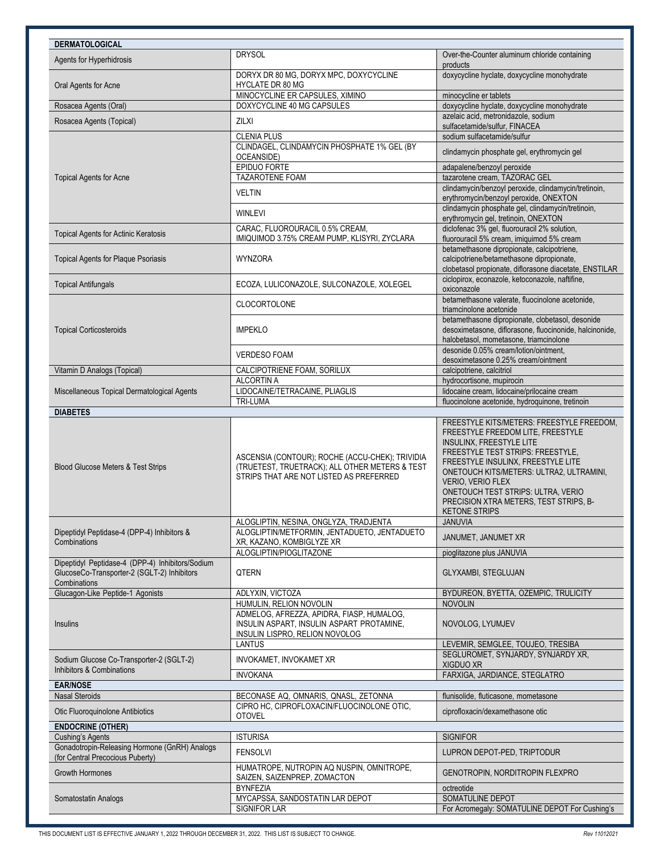| <b>DERMATOLOGICAL</b>                                                                                           |                                                                                                                                              |                                                                                                                                                                                                                                                                                                                                                                |
|-----------------------------------------------------------------------------------------------------------------|----------------------------------------------------------------------------------------------------------------------------------------------|----------------------------------------------------------------------------------------------------------------------------------------------------------------------------------------------------------------------------------------------------------------------------------------------------------------------------------------------------------------|
| Agents for Hyperhidrosis                                                                                        | <b>DRYSOL</b>                                                                                                                                | Over-the-Counter aluminum chloride containing<br>products                                                                                                                                                                                                                                                                                                      |
| Oral Agents for Acne                                                                                            | DORYX DR 80 MG, DORYX MPC, DOXYCYCLINE<br>HYCLATE DR 80 MG                                                                                   | doxycycline hyclate, doxycycline monohydrate                                                                                                                                                                                                                                                                                                                   |
|                                                                                                                 | MINOCYCLINE ER CAPSULES, XIMINO                                                                                                              | minocycline er tablets                                                                                                                                                                                                                                                                                                                                         |
| Rosacea Agents (Oral)                                                                                           | DOXYCYCLINE 40 MG CAPSULES                                                                                                                   | doxycycline hyclate, doxycycline monohydrate<br>azelaic acid, metronidazole, sodium                                                                                                                                                                                                                                                                            |
| Rosacea Agents (Topical)                                                                                        | <b>ZILXI</b>                                                                                                                                 | sulfacetamide/sulfur, FINACEA                                                                                                                                                                                                                                                                                                                                  |
|                                                                                                                 | <b>CLENIA PLUS</b>                                                                                                                           | sodium sulfacetamide/sulfur                                                                                                                                                                                                                                                                                                                                    |
|                                                                                                                 | CLINDAGEL, CLINDAMYCIN PHOSPHATE 1% GEL (BY<br>OCEANSIDE)                                                                                    | clindamycin phosphate gel, erythromycin gel                                                                                                                                                                                                                                                                                                                    |
|                                                                                                                 | EPIDUO FORTE                                                                                                                                 | adapalene/benzoyl peroxide                                                                                                                                                                                                                                                                                                                                     |
| <b>Topical Agents for Acne</b>                                                                                  | TAZAROTENE FOAM                                                                                                                              | tazarotene cream, TAZORAC GEL                                                                                                                                                                                                                                                                                                                                  |
|                                                                                                                 | <b>VELTIN</b>                                                                                                                                | clindamycin/benzoyl peroxide, clindamycin/tretinoin,<br>erythromycin/benzoyl peroxide, ONEXTON                                                                                                                                                                                                                                                                 |
|                                                                                                                 | <b>WINLEVI</b>                                                                                                                               | clindamycin phosphate gel, clindamycin/tretinoin,<br>erythromycin gel, tretinoin, ONEXTON                                                                                                                                                                                                                                                                      |
| Topical Agents for Actinic Keratosis                                                                            | CARAC, FLUOROURACIL 0.5% CREAM,<br>IMIQUIMOD 3.75% CREAM PUMP, KLISYRI, ZYCLARA                                                              | diclofenac 3% gel, fluorouracil 2% solution,<br>fluorouracil 5% cream, imiquimod 5% cream                                                                                                                                                                                                                                                                      |
| <b>Topical Agents for Plaque Psoriasis</b>                                                                      | <b>WYNZORA</b>                                                                                                                               | betamethasone dipropionate, calcipotriene,<br>calcipotriene/betamethasone dipropionate,<br>clobetasol propionate, diflorasone diacetate, ENSTILAR                                                                                                                                                                                                              |
| <b>Topical Antifungals</b>                                                                                      | ECOZA, LULICONAZOLE, SULCONAZOLE, XOLEGEL                                                                                                    | ciclopirox, econazole, ketoconazole, naftifine,<br>oxiconazole                                                                                                                                                                                                                                                                                                 |
|                                                                                                                 | CLOCORTOLONE                                                                                                                                 | betamethasone valerate, fluocinolone acetonide,<br>triamcinolone acetonide                                                                                                                                                                                                                                                                                     |
| <b>Topical Corticosteroids</b>                                                                                  | <b>IMPEKLO</b>                                                                                                                               | betamethasone dipropionate, clobetasol, desonide<br>desoximetasone, diflorasone, fluocinonide, halcinonide,<br>halobetasol, mometasone, triamcinolone                                                                                                                                                                                                          |
|                                                                                                                 | <b>VERDESO FOAM</b>                                                                                                                          | desonide 0.05% cream/lotion/ointment.<br>desoximetasone 0.25% cream/ointment                                                                                                                                                                                                                                                                                   |
| Vitamin D Analogs (Topical)                                                                                     | CALCIPOTRIENE FOAM, SORILUX                                                                                                                  | calcipotriene, calcitriol                                                                                                                                                                                                                                                                                                                                      |
|                                                                                                                 | <b>ALCORTIN A</b>                                                                                                                            | hydrocortisone, mupirocin                                                                                                                                                                                                                                                                                                                                      |
| Miscellaneous Topical Dermatological Agents                                                                     | LIDOCAINE/TETRACAINE, PLIAGLIS<br><b>TRI-LUMA</b>                                                                                            | lidocaine cream, lidocaine/prilocaine cream<br>fluocinolone acetonide, hydroquinone, tretinoin                                                                                                                                                                                                                                                                 |
| <b>DIABETES</b>                                                                                                 |                                                                                                                                              |                                                                                                                                                                                                                                                                                                                                                                |
| Blood Glucose Meters & Test Strips                                                                              | ASCENSIA (CONTOUR); ROCHE (ACCU-CHEK); TRIVIDIA<br>(TRUETEST, TRUETRACK); ALL OTHER METERS & TEST<br>STRIPS THAT ARE NOT LISTED AS PREFERRED | FREESTYLE KITS/METERS: FREESTYLE FREEDOM,<br>FREESTYLE FREEDOM LITE, FREESTYLE<br>INSULINX, FREESTYLE LITE<br>FREESTYLE TEST STRIPS: FREESTYLE,<br>FREESTYLE INSULINX, FREESTYLE LITE<br>ONETOUCH KITS/METERS: ULTRA2, ULTRAMINI,<br>VERIO, VERIO FLEX<br>ONETOUCH TEST STRIPS: ULTRA, VERIO<br>PRECISION XTRA METERS, TEST STRIPS, B-<br><b>KETONE STRIPS</b> |
|                                                                                                                 | ALOGLIPTIN, NESINA, ONGLYZA, TRADJENTA                                                                                                       | <b>JANUVIA</b>                                                                                                                                                                                                                                                                                                                                                 |
| Dipeptidyl Peptidase-4 (DPP-4) Inhibitors &<br>Combinations                                                     | ALOGLIPTIN/METFORMIN, JENTADUETO, JENTADUETO<br>XR, KAZANO, KOMBIGLYZE XR                                                                    | JANUMET, JANUMET XR                                                                                                                                                                                                                                                                                                                                            |
|                                                                                                                 | ALOGLIPTIN/PIOGLITAZONE                                                                                                                      | pioglitazone plus JANUVIA                                                                                                                                                                                                                                                                                                                                      |
| Dipeptidyl Peptidase-4 (DPP-4) Inhibitors/Sodium<br>GlucoseCo-Transporter-2 (SGLT-2) Inhibitors<br>Combinations | QTERN                                                                                                                                        | GLYXAMBI, STEGLUJAN                                                                                                                                                                                                                                                                                                                                            |
| Glucagon-Like Peptide-1 Agonists                                                                                | ADLYXIN, VICTOZA                                                                                                                             | BYDUREON, BYETTA, OZEMPIC, TRULICITY                                                                                                                                                                                                                                                                                                                           |
|                                                                                                                 | HUMULIN, RELION NOVOLIN                                                                                                                      | <b>NOVOLIN</b>                                                                                                                                                                                                                                                                                                                                                 |
| Insulins                                                                                                        | ADMELOG, AFREZZA, APIDRA, FIASP, HUMALOG,<br>INSULIN ASPART, INSULIN ASPART PROTAMINE,<br>INSULIN LISPRO, RELION NOVOLOG                     | NOVOLOG, LYUMJEV                                                                                                                                                                                                                                                                                                                                               |
|                                                                                                                 | <b>LANTUS</b>                                                                                                                                | LEVEMIR, SEMGLEE, TOUJEO, TRESIBA                                                                                                                                                                                                                                                                                                                              |
| Sodium Glucose Co-Transporter-2 (SGLT-2)<br>Inhibitors & Combinations                                           | INVOKAMET, INVOKAMET XR                                                                                                                      | SEGLUROMET, SYNJARDY, SYNJARDY XR,<br>XIGDUO XR                                                                                                                                                                                                                                                                                                                |
|                                                                                                                 | <b>INVOKANA</b>                                                                                                                              | FARXIGA, JARDIANCE, STEGLATRO                                                                                                                                                                                                                                                                                                                                  |
| <b>EAR/NOSE</b><br><b>Nasal Steroids</b>                                                                        | BECONASE AQ, OMNARIS, QNASL, ZETONNA                                                                                                         | flunisolide, fluticasone, mometasone                                                                                                                                                                                                                                                                                                                           |
| Otic Fluoroquinolone Antibiotics                                                                                | CIPRO HC, CIPROFLOXACIN/FLUOCINOLONE OTIC,<br><b>OTOVEL</b>                                                                                  | ciprofloxacin/dexamethasone otic                                                                                                                                                                                                                                                                                                                               |
| <b>ENDOCRINE (OTHER)</b>                                                                                        |                                                                                                                                              |                                                                                                                                                                                                                                                                                                                                                                |
| <b>Cushing's Agents</b>                                                                                         | <b>ISTURISA</b>                                                                                                                              | <b>SIGNIFOR</b>                                                                                                                                                                                                                                                                                                                                                |
| Gonadotropin-Releasing Hormone (GnRH) Analogs<br>(for Central Precocious Puberty)                               | <b>FENSOLVI</b>                                                                                                                              | LUPRON DEPOT-PED, TRIPTODUR                                                                                                                                                                                                                                                                                                                                    |
| <b>Growth Hormones</b>                                                                                          | HUMATROPE, NUTROPIN AQ NUSPIN, OMNITROPE,<br>SAIZEN, SAIZENPREP, ZOMACTON                                                                    | GENOTROPIN, NORDITROPIN FLEXPRO                                                                                                                                                                                                                                                                                                                                |
|                                                                                                                 | <b>BYNFEZIA</b>                                                                                                                              | octreotide                                                                                                                                                                                                                                                                                                                                                     |
| Somatostatin Analogs                                                                                            | MYCAPSSA, SANDOSTATIN LAR DEPOT<br>SIGNIFOR LAR                                                                                              | SOMATULINE DEPOT<br>For Acromegaly: SOMATULINE DEPOT For Cushing's                                                                                                                                                                                                                                                                                             |
|                                                                                                                 |                                                                                                                                              |                                                                                                                                                                                                                                                                                                                                                                |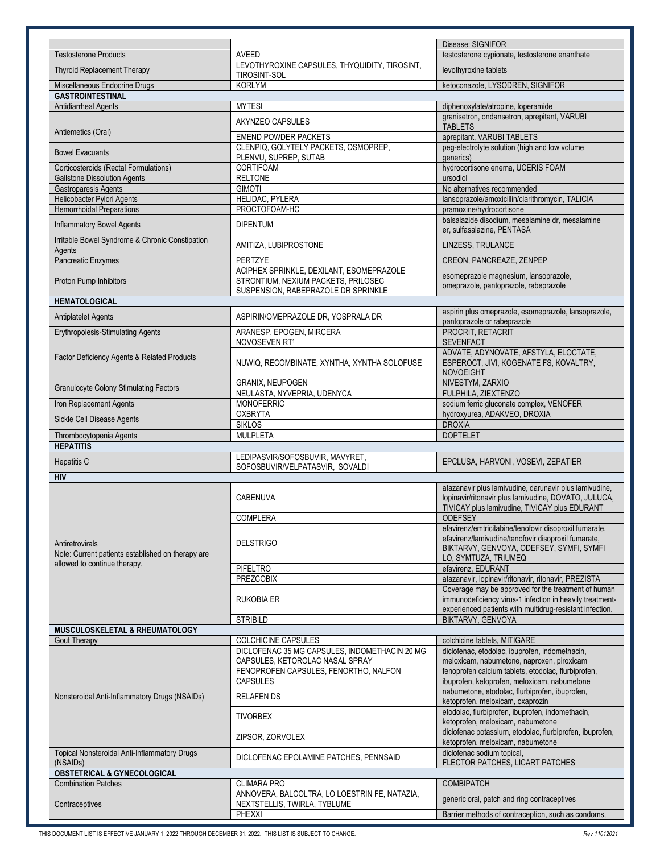|                                                                      |                                                                                                                        | Disease: SIGNIFOR                                                                                                                                                                 |
|----------------------------------------------------------------------|------------------------------------------------------------------------------------------------------------------------|-----------------------------------------------------------------------------------------------------------------------------------------------------------------------------------|
| <b>Testosterone Products</b>                                         | <b>AVEED</b>                                                                                                           | testosterone cypionate, testosterone enanthate                                                                                                                                    |
| <b>Thyroid Replacement Therapy</b>                                   | LEVOTHYROXINE CAPSULES, THYQUIDITY, TIROSINT,<br><b>TIROSINT-SOL</b>                                                   | levothyroxine tablets                                                                                                                                                             |
| Miscellaneous Endocrine Drugs                                        | <b>KORLYM</b>                                                                                                          | ketoconazole, LYSODREN, SIGNIFOR                                                                                                                                                  |
| <b>GASTROINTESTINAL</b>                                              |                                                                                                                        |                                                                                                                                                                                   |
| Antidiarrheal Agents                                                 | <b>MYTESI</b>                                                                                                          | diphenoxylate/atropine, loperamide                                                                                                                                                |
|                                                                      | AKYNZEO CAPSULES                                                                                                       | granisetron, ondansetron, aprepitant, VARUBI                                                                                                                                      |
| Antiemetics (Oral)                                                   |                                                                                                                        | <b>TABLETS</b>                                                                                                                                                                    |
|                                                                      | <b>EMEND POWDER PACKETS</b><br>CLENPIQ, GOLYTELY PACKETS, OSMOPREP,                                                    | aprepitant, VARUBI TABLETS<br>peg-electrolyte solution (high and low volume                                                                                                       |
| <b>Bowel Evacuants</b>                                               | PLENVU, SUPREP, SUTAB                                                                                                  | qenerics)                                                                                                                                                                         |
| Corticosteroids (Rectal Formulations)                                | <b>CORTIFOAM</b>                                                                                                       | hydrocortisone enema, UCERIS FOAM                                                                                                                                                 |
| <b>Gallstone Dissolution Agents</b>                                  | <b>RELTONE</b>                                                                                                         | ursodiol                                                                                                                                                                          |
| Gastroparesis Agents                                                 | <b>GIMOTI</b>                                                                                                          | No alternatives recommended                                                                                                                                                       |
| Helicobacter Pylori Agents                                           | HELIDAC, PYLERA                                                                                                        | lansoprazole/amoxicillin/clarithromycin, TALICIA                                                                                                                                  |
| <b>Hemorrhoidal Preparations</b>                                     | PROCTOFOAM-HC                                                                                                          | pramoxine/hydrocortisone                                                                                                                                                          |
| <b>Inflammatory Bowel Agents</b>                                     | <b>DIPENTUM</b>                                                                                                        | balsalazide disodium, mesalamine dr, mesalamine<br>er, sulfasalazine, PENTASA                                                                                                     |
| Irritable Bowel Syndrome & Chronic Constipation<br>Agents            | AMITIZA, LUBIPROSTONE                                                                                                  | LINZESS, TRULANCE                                                                                                                                                                 |
| Pancreatic Enzymes                                                   | PERTZYE                                                                                                                | CREON, PANCREAZE, ZENPEP                                                                                                                                                          |
| Proton Pump Inhibitors                                               | ACIPHEX SPRINKLE, DEXILANT, ESOMEPRAZOLE<br>STRONTIUM, NEXIUM PACKETS, PRILOSEC<br>SUSPENSION, RABEPRAZOLE DR SPRINKLE | esomeprazole magnesium, lansoprazole,<br>omeprazole, pantoprazole, rabeprazole                                                                                                    |
| <b>HEMATOLOGICAL</b>                                                 |                                                                                                                        |                                                                                                                                                                                   |
| Antiplatelet Agents                                                  | ASPIRIN/OMEPRAZOLE DR, YOSPRALA DR                                                                                     | aspirin plus omeprazole, esomeprazole, lansoprazole,<br>pantoprazole or rabeprazole                                                                                               |
| <b>Erythropoiesis-Stimulating Agents</b>                             | ARANESP, EPOGEN, MIRCERA                                                                                               | PROCRIT, RETACRIT                                                                                                                                                                 |
|                                                                      | NOVOSEVEN RT1                                                                                                          | <b>SEVENFACT</b>                                                                                                                                                                  |
| Factor Deficiency Agents & Related Products                          | NUWIQ, RECOMBINATE, XYNTHA, XYNTHA SOLOFUSE                                                                            | ADVATE, ADYNOVATE, AFSTYLA, ELOCTATE,<br>ESPEROCT, JIVI, KOGENATE FS, KOVALTRY,<br><b>NOVOEIGHT</b>                                                                               |
| <b>Granulocyte Colony Stimulating Factors</b>                        | GRANIX, NEUPOGEN                                                                                                       | NIVESTYM, ZARXIO                                                                                                                                                                  |
|                                                                      | NEULASTA, NYVEPRIA, UDENYCA                                                                                            | FULPHILA, ZIEXTENZO                                                                                                                                                               |
| Iron Replacement Agents                                              | <b>MONOFERRIC</b><br><b>OXBRYTA</b>                                                                                    | sodium ferric gluconate complex, VENOFER                                                                                                                                          |
| Sickle Cell Disease Agents                                           | <b>SIKLOS</b>                                                                                                          | hydroxyurea, ADAKVEO, DROXIA<br><b>DROXIA</b>                                                                                                                                     |
|                                                                      |                                                                                                                        |                                                                                                                                                                                   |
|                                                                      |                                                                                                                        | <b>DOPTELET</b>                                                                                                                                                                   |
| Thrombocytopenia Agents                                              | <b>MULPLETA</b>                                                                                                        |                                                                                                                                                                                   |
| <b>HEPATITIS</b><br>Hepatitis C                                      | LEDIPASVIR/SOFOSBUVIR, MAVYRET,                                                                                        | EPCLUSA, HARVONI, VOSEVI, ZEPATIER                                                                                                                                                |
| <b>HIV</b>                                                           | SOFOSBUVIR/VELPATASVIR, SOVALDI                                                                                        |                                                                                                                                                                                   |
|                                                                      | CABENUVA                                                                                                               | atazanavir plus lamivudine, darunavir plus lamivudine,<br>lopinavir/ritonavir plus lamivudine, DOVATO, JULUCA,<br>TIVICAY plus lamivudine, TIVICAY plus EDURANT                   |
|                                                                      | <b>COMPLERA</b>                                                                                                        | <b>ODEFSEY</b>                                                                                                                                                                    |
| Antiretrovirals<br>Note: Current patients established on therapy are | <b>DELSTRIGO</b>                                                                                                       | efavirenz/emtricitabine/tenofovir disoproxil fumarate,<br>efavirenz/lamivudine/tenofovir disoproxil fumarate,<br>BIKTARVY, GENVOYA, ODEFSEY, SYMFI, SYMFI<br>LO, SYMTUZA, TRIUMEQ |
| allowed to continue therapy.                                         | <b>PIFELTRO</b>                                                                                                        | efavirenz, EDURANT                                                                                                                                                                |
|                                                                      | <b>PREZCOBIX</b>                                                                                                       | atazanavir, lopinavir/ritonavir, ritonavir, PREZISTA                                                                                                                              |
|                                                                      | <b>RUKOBIA ER</b>                                                                                                      | Coverage may be approved for the treatment of human<br>immunodeficiency virus-1 infection in heavily treatment-<br>experienced patients with multidrug-resistant infection.       |
|                                                                      | <b>STRIBILD</b>                                                                                                        | BIKTARVY, GENVOYA                                                                                                                                                                 |
| MUSCULOSKELETAL & RHEUMATOLOGY                                       |                                                                                                                        |                                                                                                                                                                                   |
| <b>Gout Therapy</b>                                                  | <b>COLCHICINE CAPSULES</b>                                                                                             | colchicine tablets, MITIGARE                                                                                                                                                      |
|                                                                      | DICLOFENAC 35 MG CAPSULES, INDOMETHACIN 20 MG                                                                          | diclofenac, etodolac, ibuprofen, indomethacin,                                                                                                                                    |
|                                                                      | CAPSULES, KETOROLAC NASAL SPRAY                                                                                        | meloxicam, nabumetone, naproxen, piroxicam                                                                                                                                        |
|                                                                      | FENOPROFEN CAPSULES, FENORTHO, NALFON                                                                                  | fenoprofen calcium tablets, etodolac, flurbiprofen,                                                                                                                               |
| Nonsteroidal Anti-Inflammatory Drugs (NSAIDs)                        | <b>CAPSULES</b><br><b>RELAFEN DS</b>                                                                                   | ibuprofen, ketoprofen, meloxicam, nabumetone<br>nabumetone, etodolac, flurbiprofen, ibuprofen,<br>ketoprofen, meloxicam, oxaprozin                                                |
|                                                                      | <b>TIVORBEX</b>                                                                                                        | etodolac, flurbiprofen, ibuprofen, indomethacin,<br>ketoprofen, meloxicam, nabumetone                                                                                             |
|                                                                      | ZIPSOR, ZORVOLEX                                                                                                       | diclofenac potassium, etodolac, flurbiprofen, ibuprofen,<br>ketoprofen, meloxicam, nabumetone                                                                                     |
| Topical Nonsteroidal Anti-Inflammatory Drugs<br>(NSAIDs)             | DICLOFENAC EPOLAMINE PATCHES, PENNSAID                                                                                 | diclofenac sodium topical,<br>FLECTOR PATCHES, LICART PATCHES                                                                                                                     |
| <b>OBSTETRICAL &amp; GYNECOLOGICAL</b>                               |                                                                                                                        |                                                                                                                                                                                   |
| <b>Combination Patches</b>                                           | <b>CLIMARA PRO</b>                                                                                                     | <b>COMBIPATCH</b>                                                                                                                                                                 |
| Contraceptives                                                       | ANNOVERA, BALCOLTRA, LO LOESTRIN FE, NATAZIA,<br>NEXTSTELLIS, TWIRLA, TYBLUME                                          | generic oral, patch and ring contraceptives                                                                                                                                       |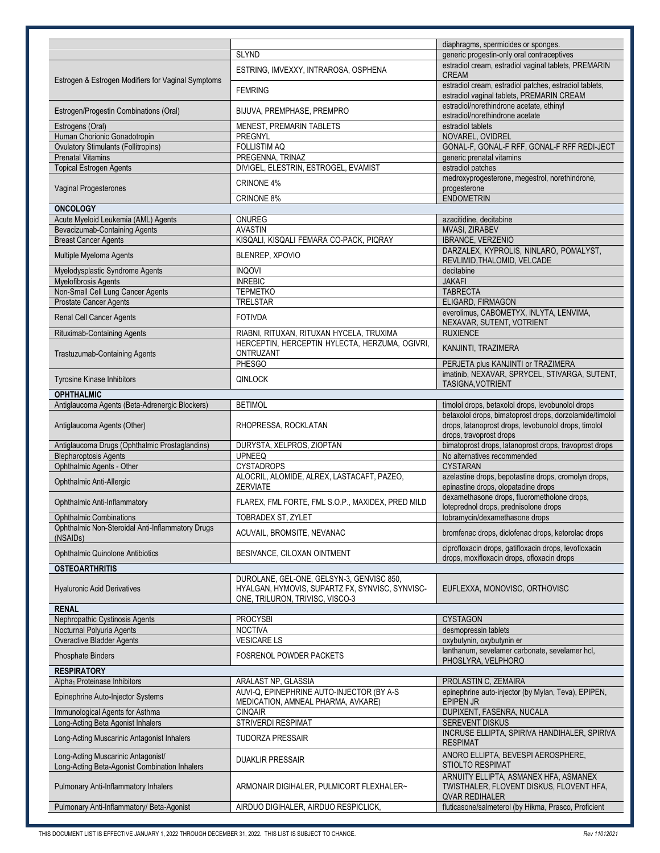|                                                    |                                                   | diaphragms, spermicides or sponges.                                               |
|----------------------------------------------------|---------------------------------------------------|-----------------------------------------------------------------------------------|
|                                                    | <b>SLYND</b>                                      | generic progestin-only oral contraceptives                                        |
|                                                    |                                                   | estradiol cream, estradiol vaginal tablets, PREMARIN                              |
| Estrogen & Estrogen Modifiers for Vaginal Symptoms | ESTRING, IMVEXXY, INTRAROSA, OSPHENA              | <b>CREAM</b>                                                                      |
|                                                    | <b>FEMRING</b>                                    | estradiol cream, estradiol patches, estradiol tablets,                            |
|                                                    |                                                   | estradiol vaginal tablets, PREMARIN CREAM                                         |
| Estrogen/Progestin Combinations (Oral)             | BIJUVA, PREMPHASE, PREMPRO                        | estradiol/norethindrone acetate, ethinyl                                          |
|                                                    | <b>MENEST, PREMARIN TABLETS</b>                   | estradiol/norethindrone acetate<br>estradiol tablets                              |
| Estrogens (Oral)<br>Human Chorionic Gonadotropin   | PREGNYL                                           | NOVAREL, OVIDREL                                                                  |
| <b>Ovulatory Stimulants (Follitropins)</b>         | <b>FOLLISTIM AQ</b>                               | GONAL-F, GONAL-F RFF, GONAL-F RFF REDI-JECT                                       |
| <b>Prenatal Vitamins</b>                           | PREGENNA, TRINAZ                                  | generic prenatal vitamins                                                         |
| <b>Topical Estrogen Agents</b>                     | DIVIGEL, ELESTRIN, ESTROGEL, EVAMIST              | estradiol patches                                                                 |
|                                                    | <b>CRINONE 4%</b>                                 | medroxyprogesterone, megestrol, norethindrone,                                    |
| Vaginal Progesterones                              |                                                   | progesterone                                                                      |
|                                                    | CRINONE 8%                                        | <b>ENDOMETRIN</b>                                                                 |
| <b>ONCOLOGY</b>                                    |                                                   |                                                                                   |
| Acute Myeloid Leukemia (AML) Agents                | ONUREG                                            | azacitidine, decitabine                                                           |
| Bevacizumab-Containing Agents                      | <b>AVASTIN</b>                                    | MVASI, ZIRABEV                                                                    |
| <b>Breast Cancer Agents</b>                        | KISQALI, KISQALI FEMARA CO-PACK, PIQRAY           | IBRANCE, VERZENIO<br>DARZALEX, KYPROLIS, NINLARO, POMALYST,                       |
| Multiple Myeloma Agents                            | BLENREP, XPOVIO                                   | REVLIMID, THALOMID, VELCADE                                                       |
| Myelodysplastic Syndrome Agents                    | <b>INQOVI</b>                                     | decitabine                                                                        |
| <b>Myelofibrosis Agents</b>                        | <b>INREBIC</b>                                    | <b>JAKAFI</b>                                                                     |
| Non-Small Cell Lung Cancer Agents                  | <b>TEPMETKO</b>                                   | <b>TABRECTA</b>                                                                   |
| Prostate Cancer Agents                             | <b>TRELSTAR</b>                                   | ELIGARD. FIRMAGON                                                                 |
|                                                    | <b>FOTIVDA</b>                                    | everolimus, CABOMETYX, INLYTA, LENVIMA,                                           |
| Renal Cell Cancer Agents                           |                                                   | NEXAVAR, SUTENT, VOTRIENT                                                         |
| Rituximab-Containing Agents                        | RIABNI, RITUXAN, RITUXAN HYCELA, TRUXIMA          | <b>RUXIENCE</b>                                                                   |
|                                                    | HERCEPTIN, HERCEPTIN HYLECTA, HERZUMA, OGIVRI,    | KANJINTI, TRAZIMERA                                                               |
| Trastuzumab-Containing Agents                      | ONTRUZANT                                         |                                                                                   |
|                                                    | PHESGO                                            | PERJETA plus KANJINTI or TRAZIMERA                                                |
| Tyrosine Kinase Inhibitors                         | <b>QINLOCK</b>                                    | imatinib, NEXAVAR, SPRYCEL, STIVARGA, SUTENT,<br>TASIGNA, VOTRIENT                |
| <b>OPHTHALMIC</b>                                  |                                                   |                                                                                   |
| Antiglaucoma Agents (Beta-Adrenergic Blockers)     | <b>BETIMOL</b>                                    | timolol drops, betaxolol drops, levobunolol drops                                 |
|                                                    |                                                   | betaxolol drops, bimatoprost drops, dorzolamide/timolol                           |
| Antiglaucoma Agents (Other)                        | RHOPRESSA, ROCKLATAN                              | drops, latanoprost drops, levobunolol drops, timolol                              |
|                                                    |                                                   | drops, travoprost drops                                                           |
| Antiglaucoma Drugs (Ophthalmic Prostaglandins)     | DURYSTA, XELPROS, ZIOPTAN                         | bimatoprost drops, latanoprost drops, travoprost drops                            |
| <b>Blepharoptosis Agents</b>                       | <b>UPNEEQ</b>                                     | No alternatives recommended                                                       |
| Ophthalmic Agents - Other                          | <b>CYSTADROPS</b>                                 | <b>CYSTARAN</b>                                                                   |
| Ophthalmic Anti-Allergic                           | ALOCRIL, ALOMIDE, ALREX, LASTACAFT, PAZEO,        | azelastine drops, bepotastine drops, cromolyn drops,                              |
|                                                    | <b>ZERVIATE</b>                                   | epinastine drops, olopatadine drops                                               |
| Ophthalmic Anti-Inflammatory                       | FLAREX, FML FORTE, FML S.O.P., MAXIDEX, PRED MILD | dexamethasone drops, fluorometholone drops,                                       |
| Ophthalmic Combinations                            | TOBRADEX ST, ZYLET                                | loteprednol drops, prednisolone drops<br>tobramycin/dexamethasone drops           |
| Ophthalmic Non-Steroidal Anti-Inflammatory Drugs   |                                                   |                                                                                   |
| (NSAIDs)                                           | ACUVAIL, BROMSITE, NEVANAC                        | bromfenac drops, diclofenac drops, ketorolac drops                                |
| <b>Ophthalmic Quinolone Antibiotics</b>            | BESIVANCE, CILOXAN OINTMENT                       | ciprofloxacin drops, gatifloxacin drops, levofloxacin                             |
|                                                    |                                                   | drops. moxifloxacin drops. ofloxacin drops                                        |
| <b>OSTEOARTHRITIS</b>                              |                                                   |                                                                                   |
|                                                    | DUROLANE, GEL-ONE, GELSYN-3, GENVISC 850,         |                                                                                   |
| <b>Hyaluronic Acid Derivatives</b>                 | HYALGAN, HYMOVIS, SUPARTZ FX, SYNVISC, SYNVISC-   | EUFLEXXA, MONOVISC, ORTHOVISC                                                     |
|                                                    | ONE, TRILURON, TRIVISC, VISCO-3                   |                                                                                   |
| <b>RENAL</b><br>Nephropathic Cystinosis Agents     | <b>PROCYSBI</b>                                   | <b>CYSTAGON</b>                                                                   |
| Nocturnal Polyuria Agents                          | <b>NOCTIVA</b>                                    | desmopressin tablets                                                              |
| Overactive Bladder Agents                          | <b>VESICARE LS</b>                                | oxybutynin, oxybutynin er                                                         |
|                                                    |                                                   | lanthanum, sevelamer carbonate, sevelamer hcl,                                    |
| <b>Phosphate Binders</b>                           | <b>FOSRENOL POWDER PACKETS</b>                    | PHOSLYRA, VELPHORO                                                                |
| <b>RESPIRATORY</b>                                 |                                                   |                                                                                   |
| Alpha <sub>1</sub> Proteinase Inhibitors           | ARALAST NP, GLASSIA                               | PROLASTIN C, ZEMAIRA                                                              |
| Epinephrine Auto-Injector Systems                  | AUVI-Q, EPINEPHRINE AUTO-INJECTOR (BY A-S         | epinephrine auto-injector (by Mylan, Teva), EPIPEN,                               |
|                                                    | MEDICATION, AMNEAL PHARMA, AVKARE)                | EPIPEN JR                                                                         |
| Immunological Agents for Asthma                    | <b>CINQAIR</b>                                    | DUPIXENT, FASENRA, NUCALA                                                         |
| Long-Acting Beta Agonist Inhalers                  | STRIVERDI RESPIMAT                                | SEREVENT DISKUS                                                                   |
| Long-Acting Muscarinic Antagonist Inhalers         | <b>TUDORZA PRESSAIR</b>                           | INCRUSE ELLIPTA, SPIRIVA HANDIHALER, SPIRIVA                                      |
|                                                    |                                                   | <b>RESPIMAT</b>                                                                   |
| Long-Acting Muscarinic Antagonist/                 | <b>DUAKLIR PRESSAIR</b>                           | ANORO ELLIPTA, BEVESPI AEROSPHERE,                                                |
| Long-Acting Beta-Agonist Combination Inhalers      |                                                   | STIOLTO RESPIMAT                                                                  |
| Pulmonary Anti-Inflammatory Inhalers               | ARMONAIR DIGIHALER, PULMICORT FLEXHALER~          | ARNUITY ELLIPTA, ASMANEX HFA, ASMANEX<br>TWISTHALER, FLOVENT DISKUS, FLOVENT HFA, |
|                                                    |                                                   | <b>QVAR REDIHALER</b>                                                             |
| Pulmonary Anti-Inflammatory/ Beta-Agonist          | AIRDUO DIGIHALER, AIRDUO RESPICLICK,              | fluticasone/salmeterol (by Hikma, Prasco, Proficient                              |
|                                                    |                                                   |                                                                                   |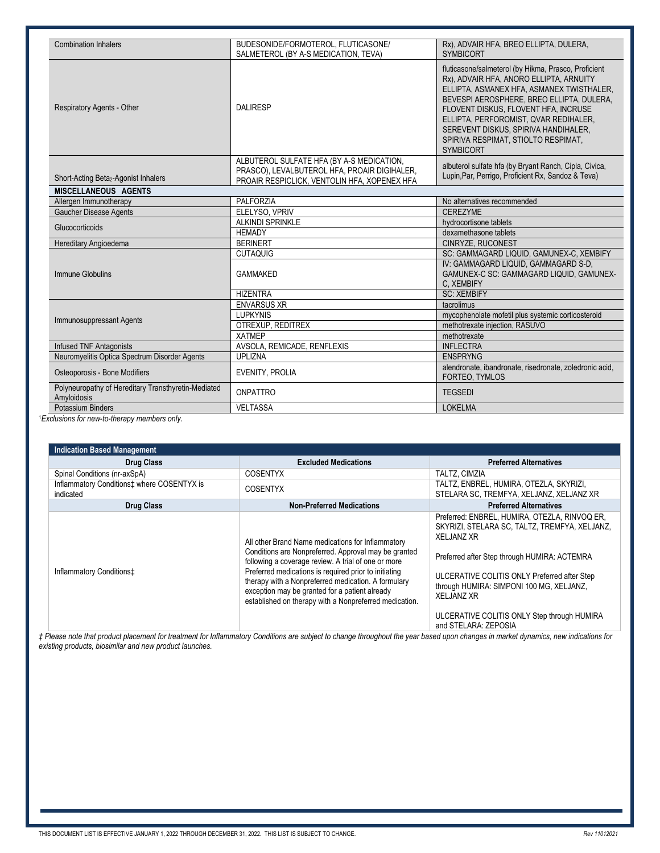| <b>Combination Inhalers</b>                                        | BUDESONIDE/FORMOTEROL, FLUTICASONE/                                                          | Rx), ADVAIR HFA, BREO ELLIPTA, DULERA,                                                                                                                                                                                                                                                                                                                                        |
|--------------------------------------------------------------------|----------------------------------------------------------------------------------------------|-------------------------------------------------------------------------------------------------------------------------------------------------------------------------------------------------------------------------------------------------------------------------------------------------------------------------------------------------------------------------------|
|                                                                    | SALMETEROL (BY A-S MEDICATION, TEVA)                                                         | <b>SYMBICORT</b>                                                                                                                                                                                                                                                                                                                                                              |
| <b>Respiratory Agents - Other</b>                                  | <b>DAI IRESP</b>                                                                             | fluticasone/salmeterol (by Hikma, Prasco, Proficient<br>Rx), ADVAIR HFA, ANORO ELLIPTA, ARNUITY<br>ELLIPTA, ASMANEX HFA, ASMANEX TWISTHALER,<br>BEVESPI AEROSPHERE, BREO ELLIPTA, DULERA,<br>FLOVENT DISKUS, FLOVENT HFA, INCRUSE<br>ELLIPTA, PERFOROMIST, QVAR REDIHALER,<br>SEREVENT DISKUS, SPIRIVA HANDIHALER,<br>SPIRIVA RESPIMAT, STIOLTO RESPIMAT,<br><b>SYMBICORT</b> |
|                                                                    | ALBUTEROL SULFATE HFA (BY A-S MEDICATION,                                                    | albuterol sulfate hfa (by Bryant Ranch, Cipla, Civica,                                                                                                                                                                                                                                                                                                                        |
| Short-Acting Beta <sub>2</sub> -Agonist Inhalers                   | PRASCO), LEVALBUTEROL HFA, PROAIR DIGIHALER,<br>PROAIR RESPICLICK, VENTOLIN HFA, XOPENEX HFA | Lupin, Par, Perrigo, Proficient Rx, Sandoz & Teva)                                                                                                                                                                                                                                                                                                                            |
| <b>MISCELLANEOUS AGENTS</b>                                        |                                                                                              |                                                                                                                                                                                                                                                                                                                                                                               |
| Allergen Immunotherapy                                             | PALFORZIA                                                                                    | No alternatives recommended                                                                                                                                                                                                                                                                                                                                                   |
| <b>Gaucher Disease Agents</b>                                      | ELELYSO, VPRIV                                                                               | <b>CEREZYME</b>                                                                                                                                                                                                                                                                                                                                                               |
| Glucocorticoids                                                    | <b>ALKINDI SPRINKLE</b>                                                                      | hydrocortisone tablets                                                                                                                                                                                                                                                                                                                                                        |
|                                                                    | <b>HEMADY</b>                                                                                | dexamethasone tablets                                                                                                                                                                                                                                                                                                                                                         |
| Hereditary Angioedema                                              | <b>BERINERT</b>                                                                              | CINRYZE, RUCONEST                                                                                                                                                                                                                                                                                                                                                             |
|                                                                    | <b>CUTAQUIG</b>                                                                              | SC: GAMMAGARD LIQUID, GAMUNEX-C, XEMBIFY                                                                                                                                                                                                                                                                                                                                      |
| Immune Globulins                                                   | <b>GAMMAKED</b>                                                                              | IV: GAMMAGARD LIQUID, GAMMAGARD S-D,<br>GAMUNEX-C SC: GAMMAGARD LIQUID, GAMUNEX-<br>C, XEMBIFY                                                                                                                                                                                                                                                                                |
|                                                                    | <b>HIZENTRA</b>                                                                              | <b>SC: XEMBIFY</b>                                                                                                                                                                                                                                                                                                                                                            |
|                                                                    | <b>ENVARSUS XR</b>                                                                           | tacrolimus                                                                                                                                                                                                                                                                                                                                                                    |
| <b>Immunosuppressant Agents</b>                                    | <b>LUPKYNIS</b>                                                                              | mycophenolate mofetil plus systemic corticosteroid                                                                                                                                                                                                                                                                                                                            |
|                                                                    | OTREXUP, REDITREX                                                                            | methotrexate injection, RASUVO                                                                                                                                                                                                                                                                                                                                                |
|                                                                    | <b>XATMEP</b>                                                                                | methotrexate                                                                                                                                                                                                                                                                                                                                                                  |
| <b>Infused TNF Antagonists</b>                                     | AVSOLA, REMICADE, RENFLEXIS                                                                  | <b>INFLECTRA</b>                                                                                                                                                                                                                                                                                                                                                              |
| Neuromyelitis Optica Spectrum Disorder Agents                      | <b>UPLIZNA</b>                                                                               | <b>ENSPRYNG</b>                                                                                                                                                                                                                                                                                                                                                               |
| Osteoporosis - Bone Modifiers                                      | EVENITY, PROLIA                                                                              | alendronate, ibandronate, risedronate, zoledronic acid,<br>FORTEO, TYMLOS                                                                                                                                                                                                                                                                                                     |
| Polyneuropathy of Hereditary Transthyretin-Mediated<br>Amyloidosis | <b>ONPATTRO</b>                                                                              | <b>TEGSEDI</b>                                                                                                                                                                                                                                                                                                                                                                |
| Potassium Binders                                                  | <b>VELTASSA</b>                                                                              | <b>LOKELMA</b>                                                                                                                                                                                                                                                                                                                                                                |

<sup>1</sup>Exclusions for new-to-therapy members only.

| <b>Indication Based Management</b>                      |                                                                                                                                                                                                                                                                                                                                                                                              |                                                                                                                                                                                                                                                                                                                                                             |
|---------------------------------------------------------|----------------------------------------------------------------------------------------------------------------------------------------------------------------------------------------------------------------------------------------------------------------------------------------------------------------------------------------------------------------------------------------------|-------------------------------------------------------------------------------------------------------------------------------------------------------------------------------------------------------------------------------------------------------------------------------------------------------------------------------------------------------------|
| <b>Drug Class</b>                                       | <b>Excluded Medications</b>                                                                                                                                                                                                                                                                                                                                                                  | <b>Preferred Alternatives</b>                                                                                                                                                                                                                                                                                                                               |
| Spinal Conditions (nr-axSpA)                            | <b>COSENTYX</b>                                                                                                                                                                                                                                                                                                                                                                              | TALTZ, CIMZIA                                                                                                                                                                                                                                                                                                                                               |
| Inflammatory Conditions‡ where COSENTYX is<br>indicated | <b>COSENTYX</b>                                                                                                                                                                                                                                                                                                                                                                              | TALTZ, ENBREL, HUMIRA, OTEZLA, SKYRIZI,<br>STELARA SC. TREMFYA, XELJANZ, XELJANZ XR                                                                                                                                                                                                                                                                         |
| <b>Drug Class</b>                                       | <b>Non-Preferred Medications</b>                                                                                                                                                                                                                                                                                                                                                             | <b>Preferred Alternatives</b>                                                                                                                                                                                                                                                                                                                               |
| Inflammatory Conditions‡                                | All other Brand Name medications for Inflammatory<br>Conditions are Nonpreferred. Approval may be granted<br>following a coverage review. A trial of one or more<br>Preferred medications is required prior to initiating<br>therapy with a Nonpreferred medication. A formulary<br>exception may be granted for a patient already<br>established on therapy with a Nonpreferred medication. | Preferred: ENBREL, HUMIRA, OTEZLA, RINVOQ ER,<br>SKYRIZI, STELARA SC. TALTZ, TREMFYA, XELJANZ,<br><b>XELJANZ XR</b><br>Preferred after Step through HUMIRA: ACTEMRA<br>ULCERATIVE COLITIS ONLY Preferred after Step<br>through HUMIRA: SIMPONI 100 MG, XELJANZ,<br><b>XELJANZ XR</b><br>ULCERATIVE COLITIS ONLY Step through HUMIRA<br>and STELARA: ZEPOSIA |

*‡ Please note that product placement for treatment for Inflammatory Conditions are subject to change throughout the year based upon changes in market dynamics, new indications for existing products, biosimilar and new product launches.*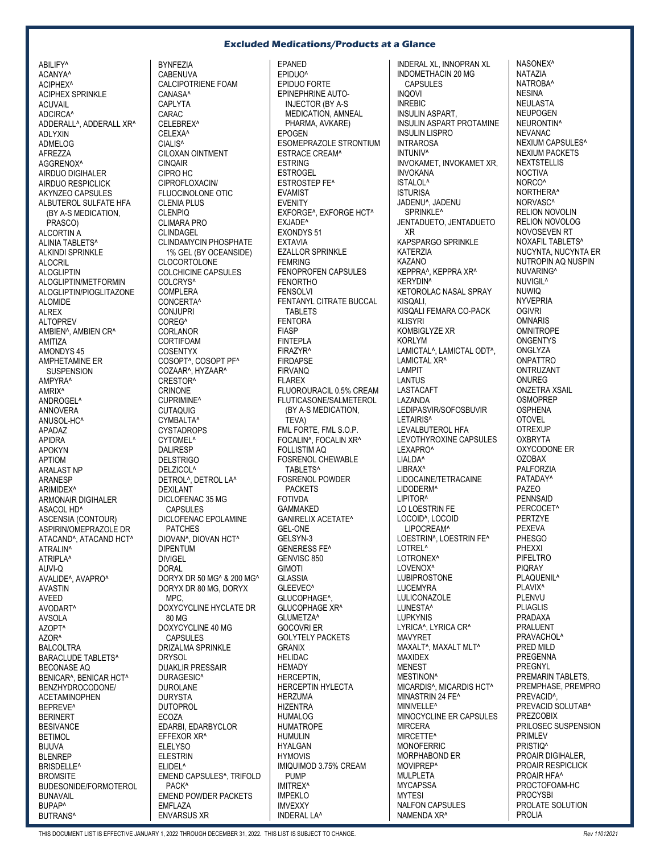## **Excluded Medications/Products at a Glance**

ABILIFY^ ACANYA^ ACIPHEX^ ACIPHEX SPRINKLE **ACUVAIL** ADCIRCA^ ADDERALL^, ADDERALL XR^ ADLYXIN ADMELOG AFREZZA AGGRENOX^ AIRDUO DIGIHALER AIRDUO RESPICLICK AKYNZEO CAPSULES ALBUTEROL SULFATE HFA (BY A-S MEDICATION, PRASCO) ALCORTIN A ALINIA TABLETS^ ALKINDI SPRINKLE ALOCRIL ALOGLIPTIN ALOGLIPTIN/METFORMIN ALOGLIPTIN/PIOGLITAZONE ALOMIDE ALREX ALTOPREV AMBIEN^, AMBIEN CR^ AMITIZA AMONDYS 45 AMPHETAMINE ER **SUSPENSION** AMPYRA^ AMRIX^ ANDROGEL^ ANNOVERA ANUSOL-HC^ APADAZ APIDRA APOKYN APTIOM ARALAST NP ARANESP ARIMIDEX^ ARMONAIR DIGIHALER ASACOL HD^ ASCENSIA (CONTOUR) ASPIRIN/OMEPRAZOLE DR ATACAND^, ATACAND HCT^ ATRALIN^ ATRIPLA^ AUVI-Q AVALIDE^, AVAPRO^ AVASTIN AVEED AVODART^ AVSOLA AZOPT^  $\triangle Z$ OR^ BALCOLTRA BARACLUDE TABLETS^ BECONASE AQ BENICAR^, BENICAR HCT^ BENZHYDROCODONE/ ACETAMINOPHEN BEPREVE^ BERINERT BESIVANCE BETIMOL BIJUVA BLENREP BRISDELLE^ **BROMSITE** BUDESONIDE/FORMOTEROL BUNAVAIL BUPAP^ BUTRANS^

BYNFEZIA **CABENUVA** CALCIPOTRIENE FOAM CANASA^ **CAPI YTA** CARAC CELEBREX^ CELEXA^ CIALIS<sup>^</sup> CILOXAN OINTMENT CINQAIR CIPRO HC CIPROFLOXACIN/ FLUOCINOLONE OTIC CLENIA PLUS CLENPIQ CLIMARA PRO CLINDAGEL CLINDAMYCIN PHOSPHATE 1% GEL (BY OCEANSIDE) **CLOCORTOLONE** COLCHICINE CAPSULES COLCRYS<sup>^</sup> COMPLERA CONCERTA^ CONJUPRI COREG^ **CORLANOR** CORTIFOAM COSENTYX COSOPT^, COSOPT PF^ COZAAR^, HYZAAR^ CRESTOR^ CRINONE CUPRIMINE^ CUTAQUIG CYMBALTA^ CYSTADROPS CYTOMEL^ DALIRESP DELSTRIGO DELZICOL^ DETROL^, DETROL LA^ DEXILANT DICLOFENAC 35 MG CAPSULES DICLOFENAC EPOLAMINE PATCHES DIOVAN^, DIOVAN HCT^ DIPENTUM DIVIGEL DORAL DORYX DR 50 MG^ & 200 MG^ DORYX DR 80 MG, DORYX MPC, DOXYCYCLINE HYCLATE DR 80 MG DOXYCYCLINE 40 MG CAPSULES DRIZALMA SPRINKLE **DRYSOL** DUAKLIR PRESSAIR DURAGESIC^ DUROLANE DURYSTA DUTOPROL ECOZA EDARBI, EDARBYCLOR EFFEXOR XR^ **ELELYSO** ELESTRIN ELIDEL^ EMEND CAPSULES^, TRIFOLD PACK^ EMEND POWDER PACKETS EMFLAZA ENVARSUS XR

EPANED EPIDUO^ EPIDUO FORTE EPINEPHRINE AUTO-INJECTOR (BY A-S MEDICATION, AMNEAL PHARMA, AVKARE) EPOGEN ESOMEPRAZOLE STRONTIUM ESTRACE CREAM^ **ESTRING ESTROGEL** ESTROSTEP FE^ EVAMIST EVENITY EXFORGE^, EXFORGE HCT^ EXJADE^ EXONDYS 51 EXTAVIA EZALLOR SPRINKLE FEMRING FENOPROFEN CAPSULES FENORTHO **FENSOLVI** FENTANYL CITRATE BUCCAL TARI FTS FENTORA FIASP FINTEPLA FIRAZYR^ FIRDAPSE FIRVANQ FLAREX FLUOROURACIL 0.5% CREAM FLUTICASONE/SALMETEROL (BY A-S MEDICATION, TEVA) FML FORTE, FML S.O.P. FOCALIN^, FOCALIN XR^ FOLLISTIM AQ FOSRENOL CHEWABLE TABLETS^ FOSRENOL POWDER PACKETS **FOTIVDA** GAMMAKED GANIRELIX ACETATE^ GEL-ONE GELSYN-3 GENERESS FE^ GENVISC 850 GIMOTI **GLASSIA** GLEEVEC^ GLUCOPHAGE^, GLUCOPHAGE XR^ GLUMETZA^ GOCOVRI ER GOLYTELY PACKETS GRANIX HELIDAC **HFMADY** HERCEPTIN, HERCEPTIN HYLECTA HERZUMA HIZENTRA HUMALOG **HUMATROPE** HUMULIN **HYALGAN** HYMOVIS IMIQUIMOD 3.75% CREAM **PUMP** IMITREX^ IMPEKLO IMVEXXY INDERAL LA^

INDERAL XL, INNOPRAN XL INDOMETHACIN 20 MG CAPSULES INQOVI INREBIC INSULIN ASPART, INSULIN ASPART PROTAMINE INSULIN LISPRO INTRAROSA INTUNIV<sup>A</sup> INVOKAMET, INVOKAMET XR, INVOKANA ISTALOL^ ISTURISA JADENU^, JADENU SPRINKLE^ JENTADUETO, JENTADUETO XR KAPSPARGO SPRINKLE KATERZIA KAZANO KEPPRA^, KEPPRA XR^ KERYDIN^ KETOROLAC NASAL SPRAY KISQALI, KISQALI FEMARA CO-PACK KLISYRI KOMBIGLYZE XR KORLYM LAMICTAL<sup>^</sup>, LAMICTAL ODT<sup>^</sup>. LAMICTAL XR^ LAMPIT LANTUS LASTACAFT LAZANDA LEDIPASVIR/SOFOSBUVIR LETAIRIS<sup>^</sup> LEVALBUTEROL HFA LEVOTHYROXINE CAPSULES LEXAPRO^ LIALDA^ LIBRAX^ LIDOCAINE/TETRACAINE LIDODERM^ LIPITOR^ LO LOESTRIN FE LOCOID^, LOCOID LIPOCREAM^ LOESTRIN^, LOESTRIN FE^ LOTREL^ LOTRONEX<sup>^</sup> LOVENOX^ LUBIPROSTONE LUCEMYRA LULICONAZOLE LUNESTA^ LUPKYNIS LYRICA^, LYRICA CR^ MAVYRET MAXALT^, MAXALT MLT^ MAXIDEX **MENEST** MESTINON<sup>^</sup> MICARDIS^, MICARDIS HCT^ MINASTRIN 24 FE^ MINIVELLE^ MINOCYCLINE ER CAPSULES MIRCERA MIRCETTE^ MONOFERRIC MORPHABOND ER MOVIPREP^ MULPLETA **MYCAPSSA** MYTESI NALFON CAPSULES NAMENDA XR^

NASONEX^ NATAZIA NATROBA^ **NESINA** NEULASTA NEUPOGEN NEURONTIN^ NEVANAC NEXIUM CAPSULES^ NEXIUM PACKETS **NEXTSTELLIS** NOCTIVA NORCO^ NORTHERA^ NORVASC^ RELION NOVOLIN RELION NOVOLOG NOVOSEVEN RT NOXAFIL TABLETS^ NUCYNTA, NUCYNTA ER NUTROPIN AQ NUSPIN NUVARING^ NUVIGIL^ NUWIQ NYVEPRIA **OGIVRI OMNARIS** OMNITROPE **ONGENTYS ONGLYZA ONPATTRO** ONTRUZANT ONUREG ONZETRA XSAIL **OSMOPREP** OSPHENA OTOVEL **OTREXUP OXBRYTA** OXYCODONE ER OZOBAX PALFORZIA PATADAY^ PAZEO PENNSAID PERCOCET^ PERTZYE **PEXEVA** PHESGO PHEXXI PIFELTRO PIQRAY PLAQUENIL<sup>^</sup> PI AVIX<sup>^</sup> PLENVU PLIAGLIS PRADAXA PRALUENT PRAVACHOL<sup>^</sup> PRED MILD PREGENNA PREGNYL PREMARIN TABLETS, PREMPHASE, PREMPRO PREVACID<sup>^</sup> PREVACID SOLUTAB^ PREZCOBIX PRILOSEC SUSPENSION PRIMLEV PRISTIO<sup>®</sup> PROAIR DIGIHALER, PROAIR RESPICLICK PROAIR HFA^ PROCTOFOAM-HC **PROCYSBI** PROLATE SOLUTION PROLIA

THIS DOCUMENT LIST IS EFFECTIVE JANUARY 1, 2022 THROUGH DECEMBER 31, 2022. THIS LIST IS SUBJECT TO CHANGE. *Rev 11012021*